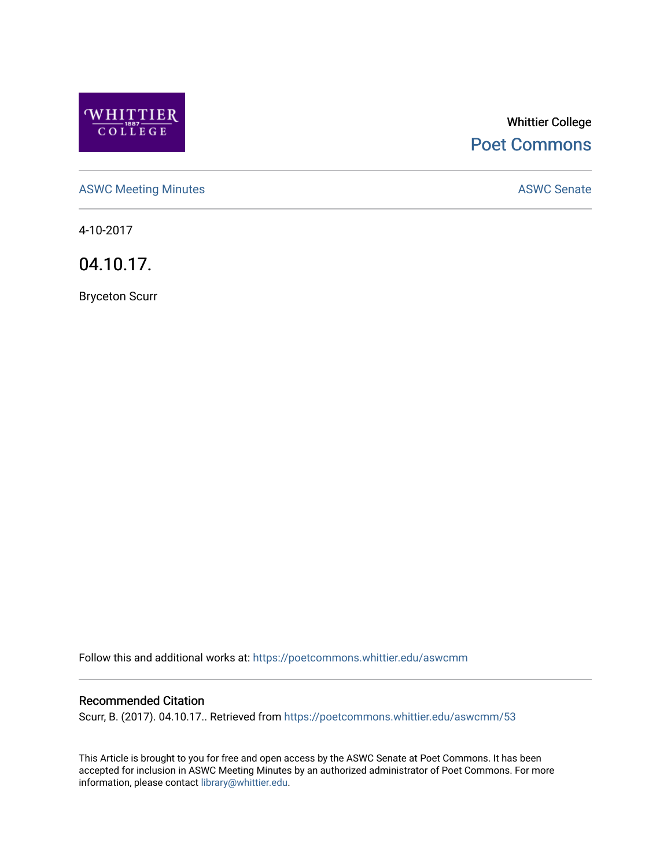

# Whittier College [Poet Commons](https://poetcommons.whittier.edu/)

[ASWC Meeting Minutes](https://poetcommons.whittier.edu/aswcmm) **ASWC Senate** 

4-10-2017

04.10.17.

Bryceton Scurr

Follow this and additional works at: [https://poetcommons.whittier.edu/aswcmm](https://poetcommons.whittier.edu/aswcmm?utm_source=poetcommons.whittier.edu%2Faswcmm%2F53&utm_medium=PDF&utm_campaign=PDFCoverPages)

#### Recommended Citation

Scurr, B. (2017). 04.10.17.. Retrieved from [https://poetcommons.whittier.edu/aswcmm/53](https://poetcommons.whittier.edu/aswcmm/53?utm_source=poetcommons.whittier.edu%2Faswcmm%2F53&utm_medium=PDF&utm_campaign=PDFCoverPages)

This Article is brought to you for free and open access by the ASWC Senate at Poet Commons. It has been accepted for inclusion in ASWC Meeting Minutes by an authorized administrator of Poet Commons. For more information, please contact [library@whittier.edu.](mailto:library@whittier.edu)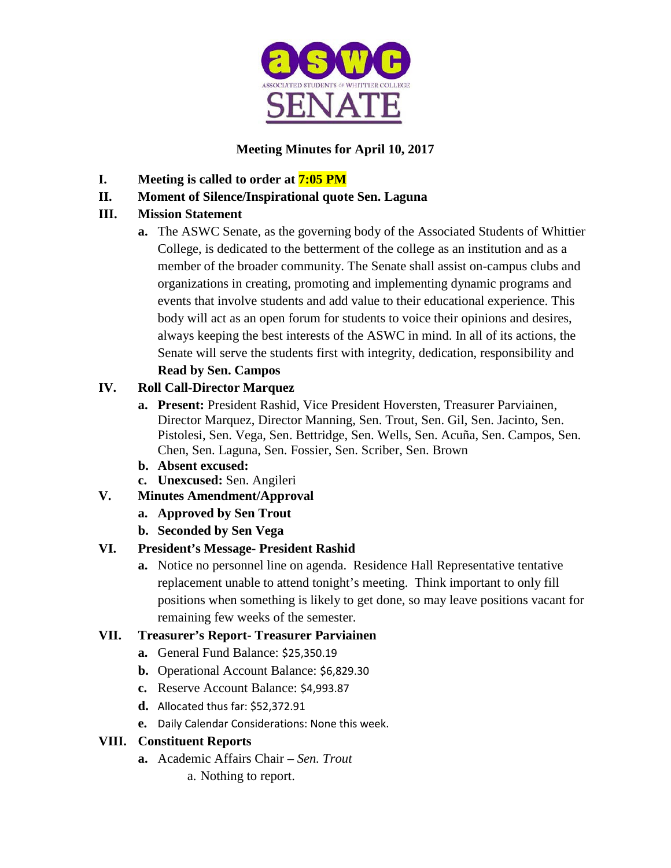

# **Meeting Minutes for April 10, 2017**

- **I. Meeting is called to order at 7:05 PM**
- **II. Moment of Silence/Inspirational quote Sen. Laguna**

# **III. Mission Statement**

**a.** The ASWC Senate, as the governing body of the Associated Students of Whittier College, is dedicated to the betterment of the college as an institution and as a member of the broader community. The Senate shall assist on-campus clubs and organizations in creating, promoting and implementing dynamic programs and events that involve students and add value to their educational experience. This body will act as an open forum for students to voice their opinions and desires, always keeping the best interests of the ASWC in mind. In all of its actions, the Senate will serve the students first with integrity, dedication, responsibility and **Read by Sen. Campos**

# **IV. Roll Call-Director Marquez**

- **a. Present:** President Rashid, Vice President Hoversten, Treasurer Parviainen, Director Marquez, Director Manning, Sen. Trout, Sen. Gil, Sen. Jacinto, Sen. Pistolesi, Sen. Vega, Sen. Bettridge, Sen. Wells, Sen. Acuña, Sen. Campos, Sen. Chen, Sen. Laguna, Sen. Fossier, Sen. Scriber, Sen. Brown
- **b. Absent excused:**
- **c. Unexcused:** Sen. Angileri

# **V. Minutes Amendment/Approval**

- **a. Approved by Sen Trout**
- **b. Seconded by Sen Vega**

# **VI. President's Message- President Rashid**

**a.** Notice no personnel line on agenda. Residence Hall Representative tentative replacement unable to attend tonight's meeting. Think important to only fill positions when something is likely to get done, so may leave positions vacant for remaining few weeks of the semester.

### **VII. Treasurer's Report- Treasurer Parviainen**

- **a.** General Fund Balance: \$25,350.19
- **b.** Operational Account Balance: \$6,829.30
- **c.** Reserve Account Balance: \$4,993.87
- **d.** Allocated thus far: \$52,372.91
- **e.** Daily Calendar Considerations: None this week.

### **VIII. Constituent Reports**

- **a.** Academic Affairs Chair *Sen. Trout*
	- a. Nothing to report.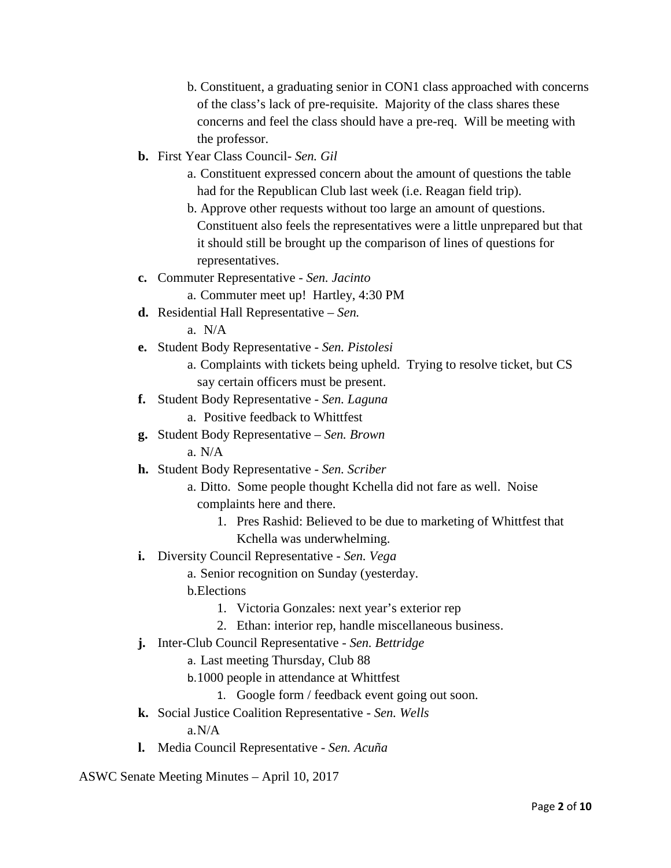b. Constituent, a graduating senior in CON1 class approached with concerns of the class's lack of pre-requisite. Majority of the class shares these concerns and feel the class should have a pre-req. Will be meeting with the professor.

- **b.** First Year Class Council- *Sen. Gil*
	- a. Constituent expressed concern about the amount of questions the table had for the Republican Club last week (i.e. Reagan field trip).
	- b. Approve other requests without too large an amount of questions. Constituent also feels the representatives were a little unprepared but that it should still be brought up the comparison of lines of questions for representatives.
- **c.** Commuter Representative *Sen. Jacinto*
	- a. Commuter meet up! Hartley, 4:30 PM
- **d.** Residential Hall Representative *Sen.*

a. N/A

- **e.** Student Body Representative *Sen. Pistolesi*
	- a. Complaints with tickets being upheld. Trying to resolve ticket, but CS say certain officers must be present.
- **f.** Student Body Representative *Sen. Laguna*
	- a. Positive feedback to Whittfest
- **g.** Student Body Representative *Sen. Brown*

a. N/A

- **h.** Student Body Representative *Sen. Scriber*
	- a. Ditto. Some people thought Kchella did not fare as well. Noise complaints here and there.
		- 1. Pres Rashid: Believed to be due to marketing of Whittfest that Kchella was underwhelming.
- **i.** Diversity Council Representative *Sen. Vega*

a. Senior recognition on Sunday (yesterday.

- b.Elections
	- 1. Victoria Gonzales: next year's exterior rep
	- 2. Ethan: interior rep, handle miscellaneous business.
- **j.** Inter-Club Council Representative *Sen. Bettridge*
	- a. Last meeting Thursday, Club 88
	- b.1000 people in attendance at Whittfest
		- 1. Google form / feedback event going out soon.
- **k.** Social Justice Coalition Representative *Sen. Wells* a.N/A
- **l.** Media Council Representative *Sen. Acuña*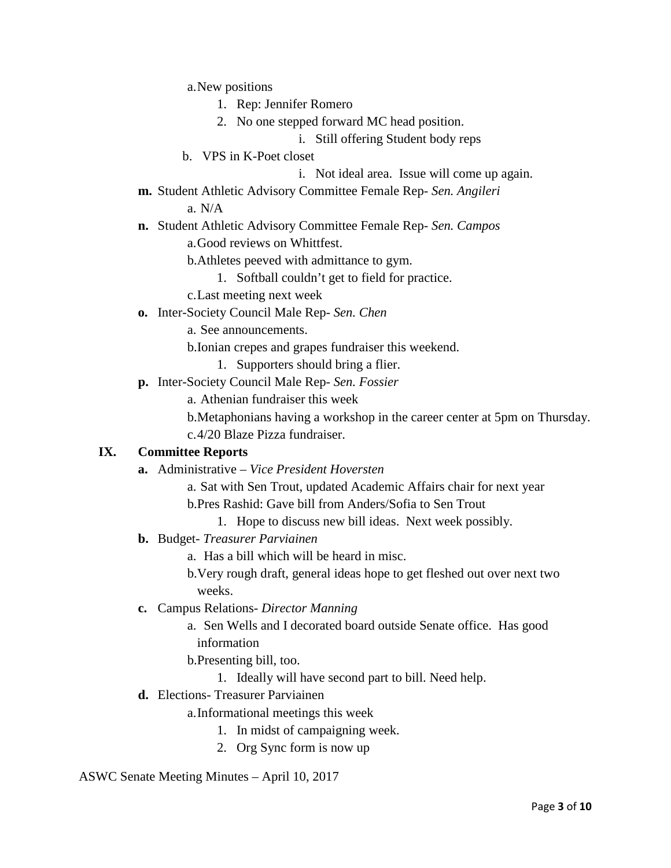a.New positions

- 1. Rep: Jennifer Romero
- 2. No one stepped forward MC head position.
	- i. Still offering Student body reps
- b. VPS in K-Poet closet

i. Not ideal area. Issue will come up again.

**m.** Student Athletic Advisory Committee Female Rep- *Sen. Angileri*

a. N/A

- **n.** Student Athletic Advisory Committee Female Rep- *Sen. Campos* a.Good reviews on Whittfest.
	- b.Athletes peeved with admittance to gym.
		- 1. Softball couldn't get to field for practice.
	- c.Last meeting next week
- **o.** Inter-Society Council Male Rep- *Sen. Chen*
	- a. See announcements.
	- b.Ionian crepes and grapes fundraiser this weekend.
		- 1. Supporters should bring a flier.
- **p.** Inter-Society Council Male Rep- *Sen. Fossier*
	- a. Athenian fundraiser this week
	- b.Metaphonians having a workshop in the career center at 5pm on Thursday. c.4/20 Blaze Pizza fundraiser.

#### **IX. Committee Reports**

- **a.** Administrative *Vice President Hoversten*
	- a. Sat with Sen Trout, updated Academic Affairs chair for next year
	- b.Pres Rashid: Gave bill from Anders/Sofia to Sen Trout
		- 1. Hope to discuss new bill ideas. Next week possibly.
- **b.** Budget- *Treasurer Parviainen*
	- a. Has a bill which will be heard in misc.

b.Very rough draft, general ideas hope to get fleshed out over next two weeks.

- **c.** Campus Relations- *Director Manning*
	- a. Sen Wells and I decorated board outside Senate office. Has good information

b.Presenting bill, too.

- 1. Ideally will have second part to bill. Need help.
- **d.** Elections- Treasurer Parviainen

a.Informational meetings this week

- 1. In midst of campaigning week.
- 2. Org Sync form is now up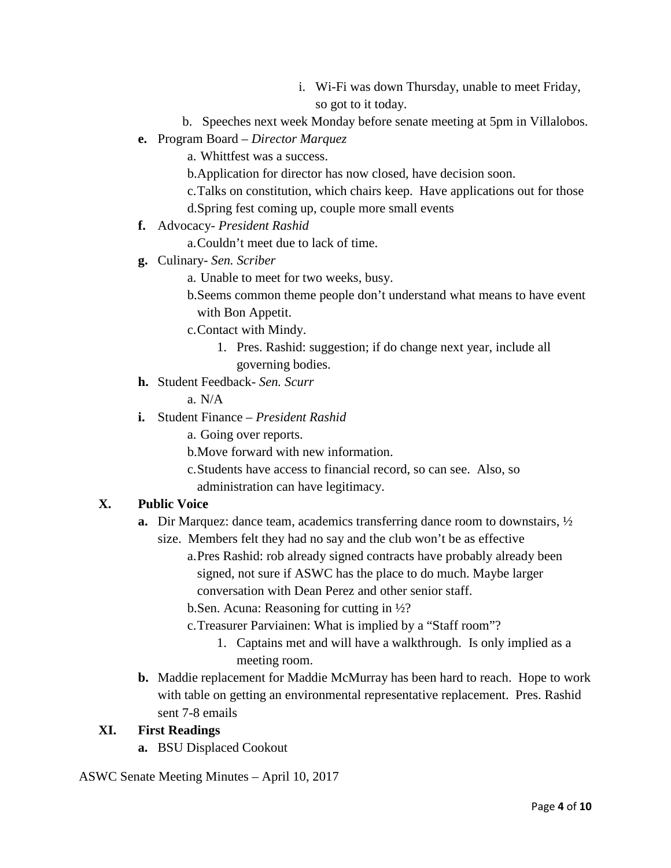- i. Wi-Fi was down Thursday, unable to meet Friday, so got to it today.
- b. Speeches next week Monday before senate meeting at 5pm in Villalobos.
- **e.** Program Board *Director Marquez*
	- a. Whittfest was a success.
	- b.Application for director has now closed, have decision soon.
	- c.Talks on constitution, which chairs keep. Have applications out for those
	- d.Spring fest coming up, couple more small events
- **f.** Advocacy- *President Rashid*
	- a.Couldn't meet due to lack of time.
- **g.** Culinary- *Sen. Scriber*
	- a. Unable to meet for two weeks, busy.
	- b.Seems common theme people don't understand what means to have event with Bon Appetit.
	- c.Contact with Mindy.
		- 1. Pres. Rashid: suggestion; if do change next year, include all governing bodies.
- **h.** Student Feedback- *Sen. Scurr*

a. N/A

- **i.** Student Finance *President Rashid*
	- a. Going over reports.
	- b.Move forward with new information.
	- c.Students have access to financial record, so can see. Also, so
	- administration can have legitimacy.

### **X. Public Voice**

- **a.** Dir Marquez: dance team, academics transferring dance room to downstairs, ½
	- size. Members felt they had no say and the club won't be as effective
		- a.Pres Rashid: rob already signed contracts have probably already been signed, not sure if ASWC has the place to do much. Maybe larger conversation with Dean Perez and other senior staff.
		- b.Sen. Acuna: Reasoning for cutting in ½?
		- c.Treasurer Parviainen: What is implied by a "Staff room"?
			- 1. Captains met and will have a walkthrough. Is only implied as a meeting room.
- **b.** Maddie replacement for Maddie McMurray has been hard to reach. Hope to work with table on getting an environmental representative replacement. Pres. Rashid sent 7-8 emails

#### **XI. First Readings**

**a.** BSU Displaced Cookout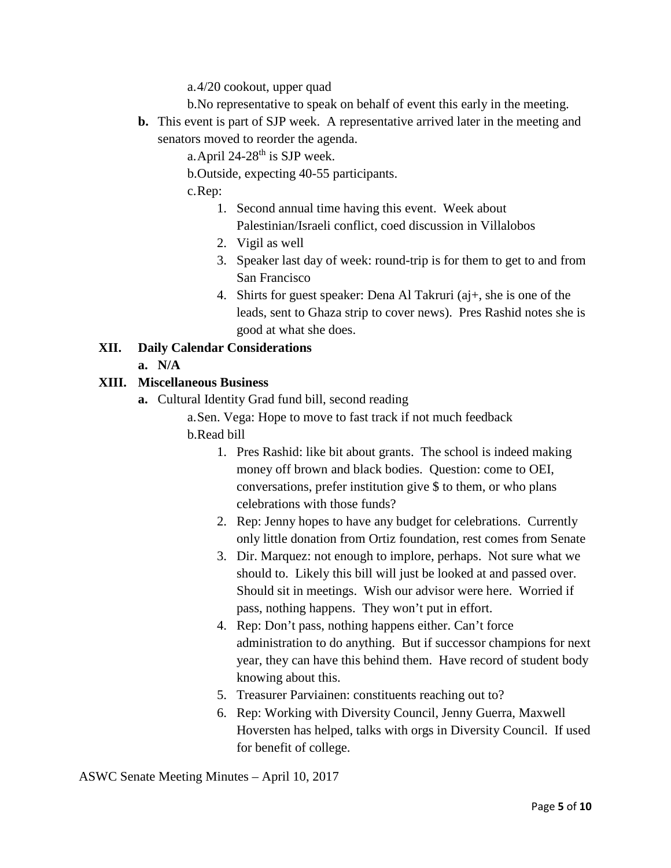a.4/20 cookout, upper quad

- b.No representative to speak on behalf of event this early in the meeting.
- **b.** This event is part of SJP week. A representative arrived later in the meeting and senators moved to reorder the agenda.

a. April  $24-28$ <sup>th</sup> is SJP week.

b.Outside, expecting 40-55 participants.

c.Rep:

- 1. Second annual time having this event. Week about Palestinian/Israeli conflict, coed discussion in Villalobos
- 2. Vigil as well
- 3. Speaker last day of week: round-trip is for them to get to and from San Francisco
- 4. Shirts for guest speaker: Dena Al Takruri (aj+, she is one of the leads, sent to Ghaza strip to cover news). Pres Rashid notes she is good at what she does.

#### **XII. Daily Calendar Considerations**

**a. N/A**

#### **XIII. Miscellaneous Business**

**a.** Cultural Identity Grad fund bill, second reading

a.Sen. Vega: Hope to move to fast track if not much feedback

- b.Read bill
	- 1. Pres Rashid: like bit about grants. The school is indeed making money off brown and black bodies. Question: come to OEI, conversations, prefer institution give \$ to them, or who plans celebrations with those funds?
	- 2. Rep: Jenny hopes to have any budget for celebrations. Currently only little donation from Ortiz foundation, rest comes from Senate
	- 3. Dir. Marquez: not enough to implore, perhaps. Not sure what we should to. Likely this bill will just be looked at and passed over. Should sit in meetings. Wish our advisor were here. Worried if pass, nothing happens. They won't put in effort.
	- 4. Rep: Don't pass, nothing happens either. Can't force administration to do anything. But if successor champions for next year, they can have this behind them. Have record of student body knowing about this.
	- 5. Treasurer Parviainen: constituents reaching out to?
	- 6. Rep: Working with Diversity Council, Jenny Guerra, Maxwell Hoversten has helped, talks with orgs in Diversity Council. If used for benefit of college.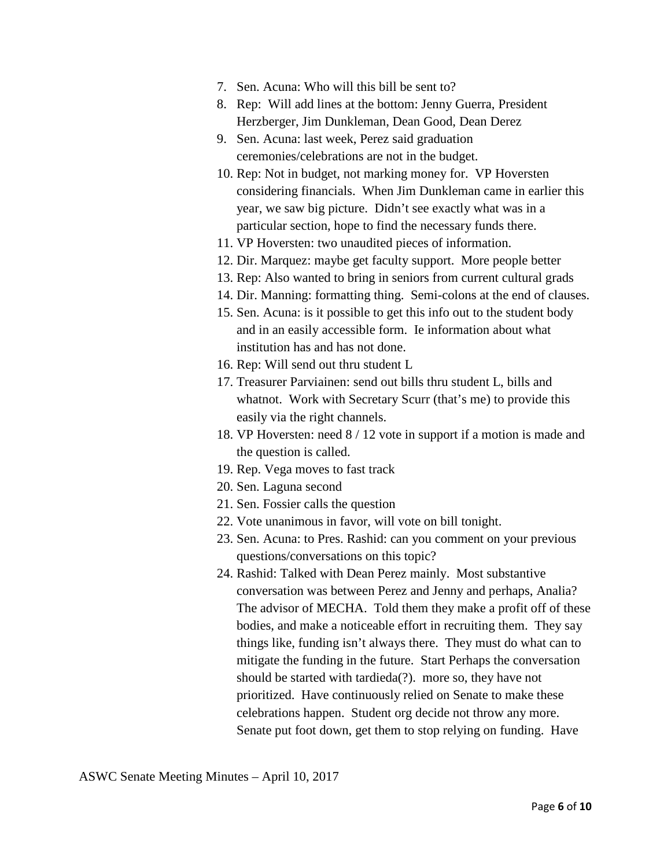- 7. Sen. Acuna: Who will this bill be sent to?
- 8. Rep: Will add lines at the bottom: Jenny Guerra, President Herzberger, Jim Dunkleman, Dean Good, Dean Derez
- 9. Sen. Acuna: last week, Perez said graduation ceremonies/celebrations are not in the budget.
- 10. Rep: Not in budget, not marking money for. VP Hoversten considering financials. When Jim Dunkleman came in earlier this year, we saw big picture. Didn't see exactly what was in a particular section, hope to find the necessary funds there.
- 11. VP Hoversten: two unaudited pieces of information.
- 12. Dir. Marquez: maybe get faculty support. More people better
- 13. Rep: Also wanted to bring in seniors from current cultural grads
- 14. Dir. Manning: formatting thing. Semi-colons at the end of clauses.
- 15. Sen. Acuna: is it possible to get this info out to the student body and in an easily accessible form. Ie information about what institution has and has not done.
- 16. Rep: Will send out thru student L
- 17. Treasurer Parviainen: send out bills thru student L, bills and whatnot. Work with Secretary Scurr (that's me) to provide this easily via the right channels.
- 18. VP Hoversten: need 8 / 12 vote in support if a motion is made and the question is called.
- 19. Rep. Vega moves to fast track
- 20. Sen. Laguna second
- 21. Sen. Fossier calls the question
- 22. Vote unanimous in favor, will vote on bill tonight.
- 23. Sen. Acuna: to Pres. Rashid: can you comment on your previous questions/conversations on this topic?
- 24. Rashid: Talked with Dean Perez mainly. Most substantive conversation was between Perez and Jenny and perhaps, Analia? The advisor of MECHA. Told them they make a profit off of these bodies, and make a noticeable effort in recruiting them. They say things like, funding isn't always there. They must do what can to mitigate the funding in the future. Start Perhaps the conversation should be started with tardieda(?). more so, they have not prioritized. Have continuously relied on Senate to make these celebrations happen. Student org decide not throw any more. Senate put foot down, get them to stop relying on funding. Have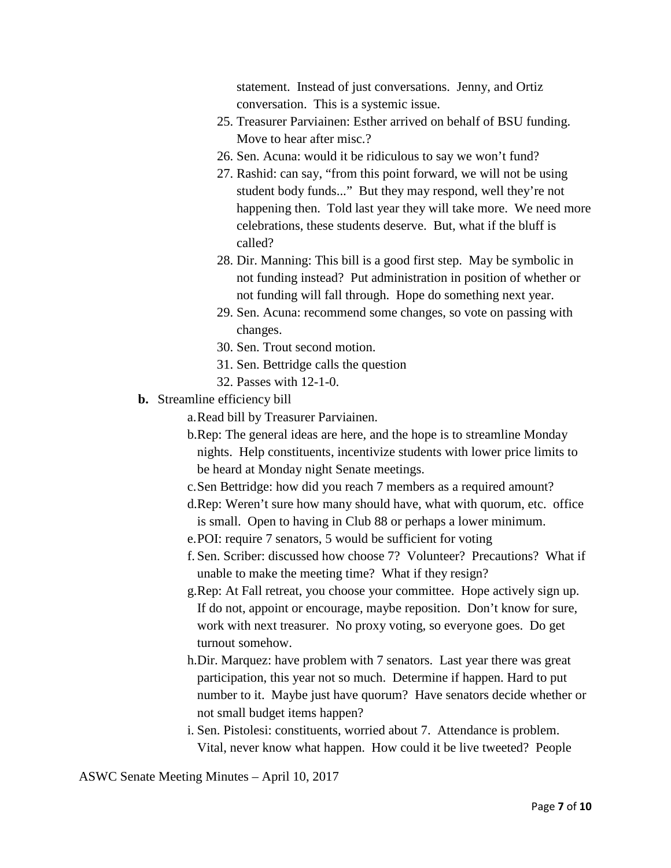statement. Instead of just conversations. Jenny, and Ortiz conversation. This is a systemic issue.

- 25. Treasurer Parviainen: Esther arrived on behalf of BSU funding. Move to hear after misc.?
- 26. Sen. Acuna: would it be ridiculous to say we won't fund?
- 27. Rashid: can say, "from this point forward, we will not be using student body funds..." But they may respond, well they're not happening then. Told last year they will take more. We need more celebrations, these students deserve. But, what if the bluff is called?
- 28. Dir. Manning: This bill is a good first step. May be symbolic in not funding instead? Put administration in position of whether or not funding will fall through. Hope do something next year.
- 29. Sen. Acuna: recommend some changes, so vote on passing with changes.
- 30. Sen. Trout second motion.
- 31. Sen. Bettridge calls the question
- 32. Passes with 12-1-0.
- **b.** Streamline efficiency bill

a.Read bill by Treasurer Parviainen.

- b.Rep: The general ideas are here, and the hope is to streamline Monday nights. Help constituents, incentivize students with lower price limits to be heard at Monday night Senate meetings.
- c.Sen Bettridge: how did you reach 7 members as a required amount?
- d.Rep: Weren't sure how many should have, what with quorum, etc. office is small. Open to having in Club 88 or perhaps a lower minimum.
- e.POI: require 7 senators, 5 would be sufficient for voting
- f. Sen. Scriber: discussed how choose 7? Volunteer? Precautions? What if unable to make the meeting time? What if they resign?
- g.Rep: At Fall retreat, you choose your committee. Hope actively sign up. If do not, appoint or encourage, maybe reposition. Don't know for sure, work with next treasurer. No proxy voting, so everyone goes. Do get turnout somehow.
- h.Dir. Marquez: have problem with 7 senators. Last year there was great participation, this year not so much. Determine if happen. Hard to put number to it. Maybe just have quorum? Have senators decide whether or not small budget items happen?
- i. Sen. Pistolesi: constituents, worried about 7. Attendance is problem. Vital, never know what happen. How could it be live tweeted? People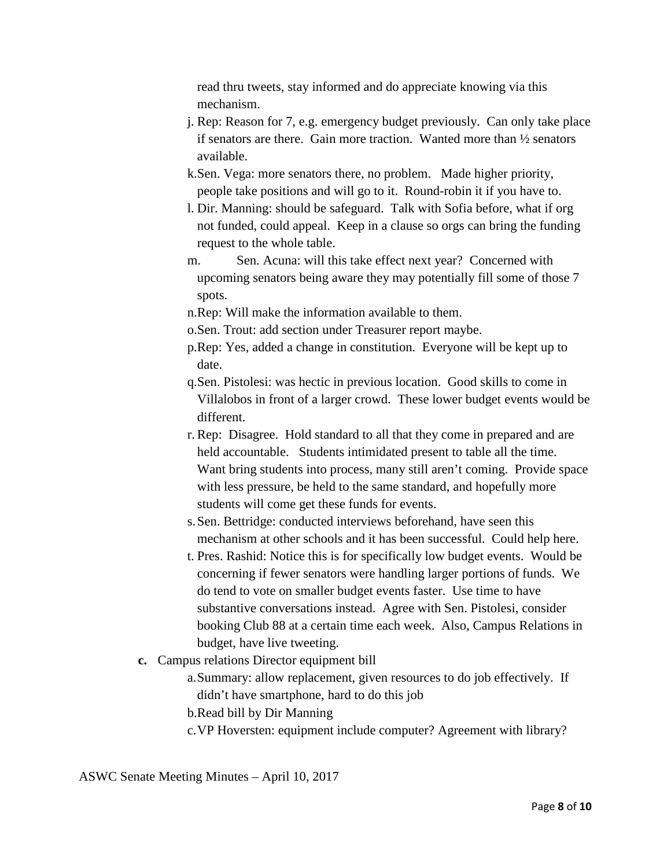read thru tweets, stay informed and do appreciate knowing via this mechanism.

- j. Rep: Reason for 7, e.g. emergency budget previously. Can only take place if senators are there. Gain more traction. Wanted more than ½ senators available.
- k.Sen. Vega: more senators there, no problem. Made higher priority, people take positions and will go to it. Round-robin it if you have to.
- l. Dir. Manning: should be safeguard. Talk with Sofia before, what if org not funded, could appeal. Keep in a clause so orgs can bring the funding request to the whole table.
- m. Sen. Acuna: will this take effect next year? Concerned with upcoming senators being aware they may potentially fill some of those 7 spots.
- n.Rep: Will make the information available to them.
- o.Sen. Trout: add section under Treasurer report maybe.
- p.Rep: Yes, added a change in constitution. Everyone will be kept up to date.
- q.Sen. Pistolesi: was hectic in previous location. Good skills to come in Villalobos in front of a larger crowd. These lower budget events would be different.
- r. Rep: Disagree. Hold standard to all that they come in prepared and are held accountable. Students intimidated present to table all the time. Want bring students into process, many still aren't coming. Provide space with less pressure, be held to the same standard, and hopefully more students will come get these funds for events.
- s.Sen. Bettridge: conducted interviews beforehand, have seen this mechanism at other schools and it has been successful. Could help here.
- t. Pres. Rashid: Notice this is for specifically low budget events. Would be concerning if fewer senators were handling larger portions of funds. We do tend to vote on smaller budget events faster. Use time to have substantive conversations instead. Agree with Sen. Pistolesi, consider booking Club 88 at a certain time each week. Also, Campus Relations in budget, have live tweeting.
- **c.** Campus relations Director equipment bill
	- a.Summary: allow replacement, given resources to do job effectively. If didn't have smartphone, hard to do this job
	- b.Read bill by Dir Manning
	- c.VP Hoversten: equipment include computer? Agreement with library?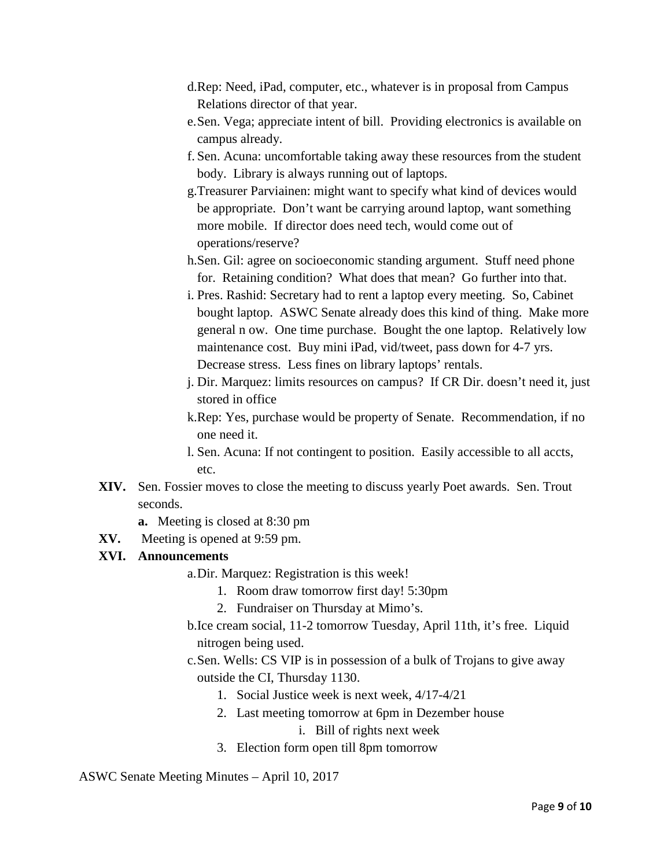- d.Rep: Need, iPad, computer, etc., whatever is in proposal from Campus Relations director of that year.
- e.Sen. Vega; appreciate intent of bill. Providing electronics is available on campus already.
- f. Sen. Acuna: uncomfortable taking away these resources from the student body. Library is always running out of laptops.
- g.Treasurer Parviainen: might want to specify what kind of devices would be appropriate. Don't want be carrying around laptop, want something more mobile. If director does need tech, would come out of operations/reserve?
- h.Sen. Gil: agree on socioeconomic standing argument. Stuff need phone for. Retaining condition? What does that mean? Go further into that.
- i. Pres. Rashid: Secretary had to rent a laptop every meeting. So, Cabinet bought laptop. ASWC Senate already does this kind of thing. Make more general n ow. One time purchase. Bought the one laptop. Relatively low maintenance cost. Buy mini iPad, vid/tweet, pass down for 4-7 yrs. Decrease stress. Less fines on library laptops' rentals.
- j. Dir. Marquez: limits resources on campus? If CR Dir. doesn't need it, just stored in office
- k.Rep: Yes, purchase would be property of Senate. Recommendation, if no one need it.
- l. Sen. Acuna: If not contingent to position. Easily accessible to all accts, etc.
- **XIV.** Sen. Fossier moves to close the meeting to discuss yearly Poet awards. Sen. Trout seconds.
	- **a.** Meeting is closed at 8:30 pm
- **XV.** Meeting is opened at 9:59 pm.

#### **XVI. Announcements**

- a.Dir. Marquez: Registration is this week!
	- 1. Room draw tomorrow first day! 5:30pm
	- 2. Fundraiser on Thursday at Mimo's.
- b.Ice cream social, 11-2 tomorrow Tuesday, April 11th, it's free. Liquid nitrogen being used.
- c.Sen. Wells: CS VIP is in possession of a bulk of Trojans to give away outside the CI, Thursday 1130.
	- 1. Social Justice week is next week, 4/17-4/21
	- 2. Last meeting tomorrow at 6pm in Dezember house
		- i. Bill of rights next week
	- 3. Election form open till 8pm tomorrow